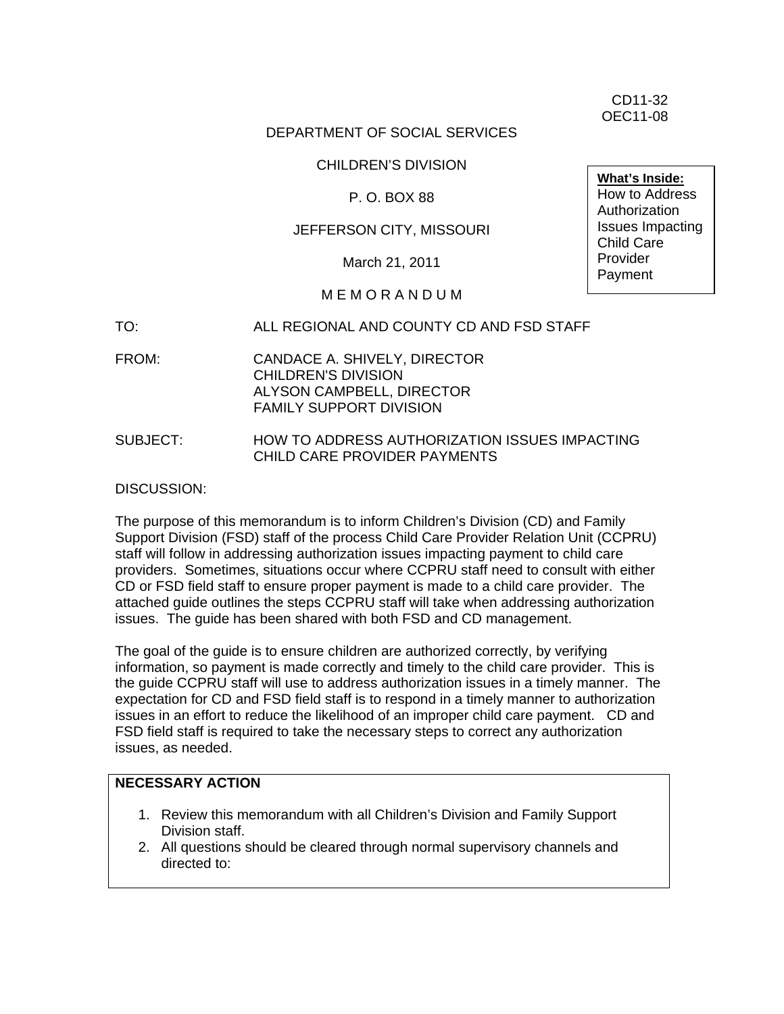CD11-32 OEC11-08

## DEPARTMENT OF SOCIAL SERVICES

### CHILDREN'S DIVISION

#### P. O. BOX 88

#### JEFFERSON CITY, MISSOURI

March 21, 2011

## M E M O R A N D U M

- TO: ALL REGIONAL AND COUNTY CD AND FSD STAFF
- FROM: CANDACE A. SHIVELY, DIRECTOR CHILDREN'S DIVISION ALYSON CAMPBELL, DIRECTOR FAMILY SUPPORT DIVISION
- SUBJECT: HOW TO ADDRESS AUTHORIZATION ISSUES IMPACTING CHILD CARE PROVIDER PAYMENTS

#### DISCUSSION:

The purpose of this memorandum is to inform Children's Division (CD) and Family Support Division (FSD) staff of the process Child Care Provider Relation Unit (CCPRU) staff will follow in addressing authorization issues impacting payment to child care providers. Sometimes, situations occur where CCPRU staff need to consult with either CD or FSD field staff to ensure proper payment is made to a child care provider. The attached guide outlines the steps CCPRU staff will take when addressing authorization issues. The guide has been shared with both FSD and CD management.

The goal of the guide is to ensure children are authorized correctly, by verifying information, so payment is made correctly and timely to the child care provider. This is the guide CCPRU staff will use to address authorization issues in a timely manner. The expectation for CD and FSD field staff is to respond in a timely manner to authorization issues in an effort to reduce the likelihood of an improper child care payment. CD and FSD field staff is required to take the necessary steps to correct any authorization issues, as needed.

## **NECESSARY ACTION**

- 1. Review this memorandum with all Children's Division and Family Support Division staff.
- 2. All questions should be cleared through normal supervisory channels and directed to:

**What's Inside:** How to Address **Authorization** Issues Impacting Child Care **Provider** Payment